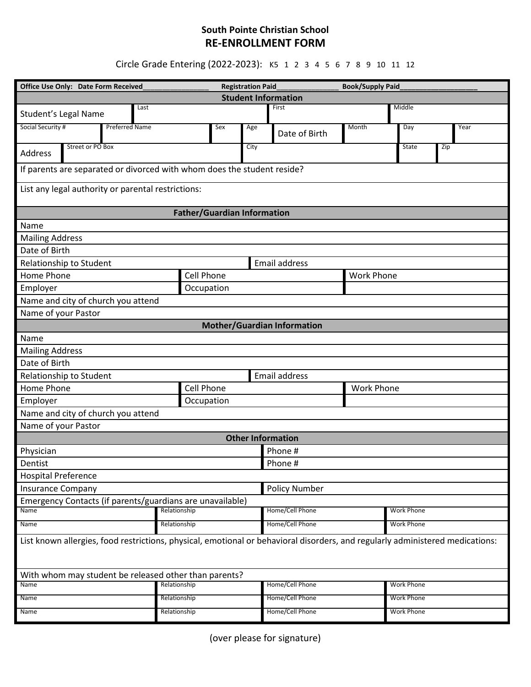## **South Pointe Christian School RE-ENROLLMENT FORM**

Circle Grade Entering (2022-2023): K5 1 2 3 4 5 6 7 8 9 10 11 12

| Office Use Only: Date Form Received<br><b>Registration Paid</b>                                                               |                   |      |     |                 | <b>Book/Supply Paid</b> |                   |      |  |
|-------------------------------------------------------------------------------------------------------------------------------|-------------------|------|-----|-----------------|-------------------------|-------------------|------|--|
| <b>Student Information</b>                                                                                                    |                   |      |     |                 |                         |                   |      |  |
| First<br>Middle<br>Last<br>Student's Legal Name                                                                               |                   |      |     |                 |                         |                   |      |  |
| Social Security #<br><b>Preferred Name</b>                                                                                    |                   | Sex  | Age | Date of Birth   | Month                   | Day               | Year |  |
| Street or PO Box<br>Address                                                                                                   |                   | City |     |                 | State                   | Zip               |      |  |
| If parents are separated or divorced with whom does the student reside?                                                       |                   |      |     |                 |                         |                   |      |  |
| List any legal authority or parental restrictions:                                                                            |                   |      |     |                 |                         |                   |      |  |
| <b>Father/Guardian Information</b>                                                                                            |                   |      |     |                 |                         |                   |      |  |
| Name                                                                                                                          |                   |      |     |                 |                         |                   |      |  |
| <b>Mailing Address</b>                                                                                                        |                   |      |     |                 |                         |                   |      |  |
| Date of Birth                                                                                                                 |                   |      |     |                 |                         |                   |      |  |
| Relationship to Student<br><b>Email address</b>                                                                               |                   |      |     |                 |                         |                   |      |  |
| Home Phone                                                                                                                    | Cell Phone        |      |     |                 |                         | <b>Work Phone</b> |      |  |
| Employer                                                                                                                      | Occupation        |      |     |                 |                         |                   |      |  |
| Name and city of church you attend                                                                                            |                   |      |     |                 |                         |                   |      |  |
| Name of your Pastor                                                                                                           |                   |      |     |                 |                         |                   |      |  |
| <b>Mother/Guardian Information</b>                                                                                            |                   |      |     |                 |                         |                   |      |  |
| Name                                                                                                                          |                   |      |     |                 |                         |                   |      |  |
| <b>Mailing Address</b>                                                                                                        |                   |      |     |                 |                         |                   |      |  |
| Date of Birth                                                                                                                 |                   |      |     |                 |                         |                   |      |  |
| <b>Email address</b><br>Relationship to Student                                                                               |                   |      |     |                 |                         |                   |      |  |
| Home Phone                                                                                                                    | <b>Cell Phone</b> |      |     |                 | <b>Work Phone</b>       |                   |      |  |
| Employer                                                                                                                      | Occupation        |      |     |                 |                         |                   |      |  |
| Name and city of church you attend                                                                                            |                   |      |     |                 |                         |                   |      |  |
| Name of your Pastor                                                                                                           |                   |      |     |                 |                         |                   |      |  |
| <b>Other Information</b>                                                                                                      |                   |      |     |                 |                         |                   |      |  |
| Physician<br>Phone #                                                                                                          |                   |      |     |                 |                         |                   |      |  |
| Dentist                                                                                                                       |                   |      |     | Phone #         |                         |                   |      |  |
| <b>Hospital Preference</b>                                                                                                    |                   |      |     |                 |                         |                   |      |  |
| <b>Policy Number</b><br><b>Insurance Company</b>                                                                              |                   |      |     |                 |                         |                   |      |  |
| Emergency Contacts (if parents/guardians are unavailable)                                                                     |                   |      |     |                 |                         |                   |      |  |
| Name                                                                                                                          | Relationship      |      |     | Home/Cell Phone |                         | <b>Work Phone</b> |      |  |
| Name                                                                                                                          | Relationship      |      |     | Home/Cell Phone |                         | <b>Work Phone</b> |      |  |
| List known allergies, food restrictions, physical, emotional or behavioral disorders, and regularly administered medications: |                   |      |     |                 |                         |                   |      |  |
| With whom may student be released other than parents?                                                                         |                   |      |     |                 |                         |                   |      |  |
| Name                                                                                                                          | Relationship      |      |     | Home/Cell Phone |                         | <b>Work Phone</b> |      |  |
| Name                                                                                                                          | Relationship      |      |     | Home/Cell Phone |                         | <b>Work Phone</b> |      |  |
| Name                                                                                                                          | Relationship      |      |     | Home/Cell Phone |                         | <b>Work Phone</b> |      |  |